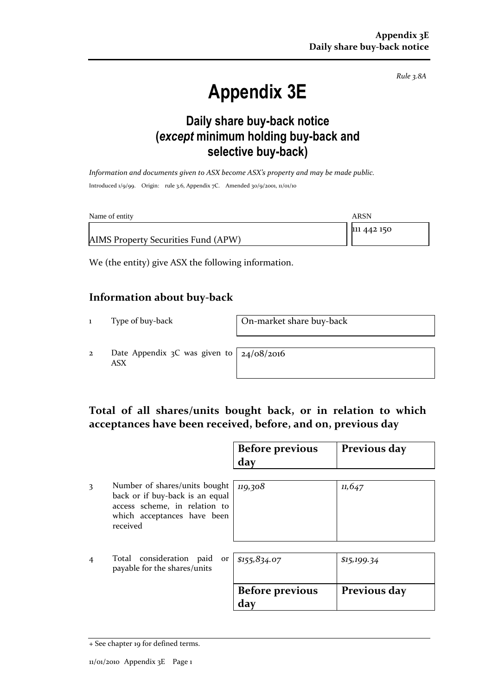*Rule 3.8A*

# **Appendix 3E**

### **Daily share buy-back notice (***except* **minimum holding buy-back and selective buy-back)**

*Information and documents given to ASX become ASX's property and may be made public.* Introduced 1/9/99. Origin: rule 3.6, Appendix 7C. Amended 30/9/2001, 11/01/10

| Name of entity                      | ARSN        |
|-------------------------------------|-------------|
|                                     | 111 442 150 |
| AIMS Property Securities Fund (APW) |             |

We (the entity) give ASX the following information.

#### **Information about buy-back**

1 Type of buy-back On-market share buy-back

2 Date Appendix 3C was given to ASX

24/08/2016

#### **Total of all shares/units bought back, or in relation to which acceptances have been received, before, and on, previous day**

|                |                                                                                                                                              | <b>Before previous</b><br>day | Previous day |
|----------------|----------------------------------------------------------------------------------------------------------------------------------------------|-------------------------------|--------------|
| 3              | Number of shares/units bought<br>back or if buy-back is an equal<br>access scheme, in relation to<br>which acceptances have been<br>received | 119,308                       | 11,647       |
| $\overline{4}$ | Total consideration paid<br>payable for the shares/units                                                                                     | or $$155,834.07$              | \$15,199.34  |
|                |                                                                                                                                              | <b>Before previous</b><br>day | Previous day |

<sup>+</sup> See chapter 19 for defined terms.